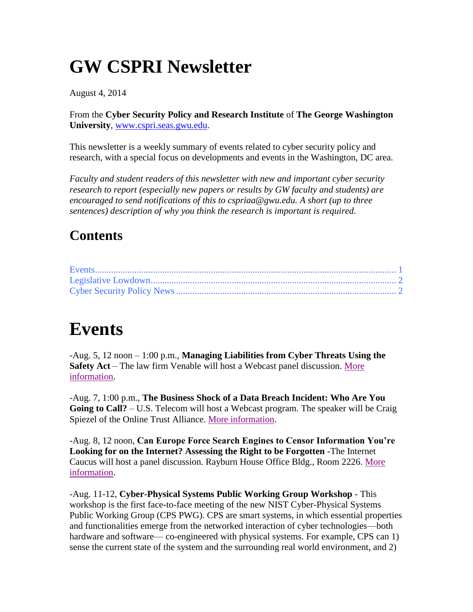## **GW CSPRI Newsletter**

August 4, 2014

From the **Cyber Security Policy and Research Institute** of **The George Washington University**, [www.cspri.seas.gwu.edu.](http://www.cspri.seas.gwu.edu/)

This newsletter is a weekly summary of events related to cyber security policy and research, with a special focus on developments and events in the Washington, DC area.

*Faculty and student readers of this newsletter with new and important cyber security research to report (especially new papers or results by GW faculty and students) are encouraged to send notifications of this to cspriaa@gwu.edu. A short (up to three sentences) description of why you think the research is important is required.*

#### **Contents**

### <span id="page-0-0"></span>**Events**

-Aug. 5, 12 noon – 1:00 p.m., **Managing Liabilities from Cyber Threats Using the Safety Act** – The law firm Venable will host a Webcast panel discussion. [More](http://www.venable.com/managing-liabilities-from-cyber-threats-using-the-safety-act-08-05-2014/)  [information.](http://www.venable.com/managing-liabilities-from-cyber-threats-using-the-safety-act-08-05-2014/)

-Aug. 7, 1:00 p.m., **The Business Shock of a Data Breach Incident: Who Are You Going to Call?** – U.S. Telecom will host a Webcast program. The speaker will be Craig Spiezel of the Online Trust Alliance. [More information.](http://www.ustelecom.org/events-education/webinars/business-shock-data-breach-incident-who-are-you-going-call)

-Aug. 8, 12 noon, **Can Europe Force Search Engines to Censor Information You're Looking for on the Internet? Assessing the Right to be Forgotten** -The Internet Caucus will host a panel discussion. Rayburn House Office Bldg., Room 2226. [More](http://www.netcaucus.org/th_event/euforgotten/)  [information.](http://www.netcaucus.org/th_event/euforgotten/)

-Aug. 11-12, **Cyber-Physical Systems Public Working Group Workshop** - This workshop is the first face-to-face meeting of the new NIST Cyber-Physical Systems Public Working Group (CPS PWG). CPS are smart systems, in which essential properties and functionalities emerge from the networked interaction of cyber technologies—both hardware and software— co-engineered with physical systems. For example, CPS can 1) sense the current state of the system and the surrounding real world environment, and 2)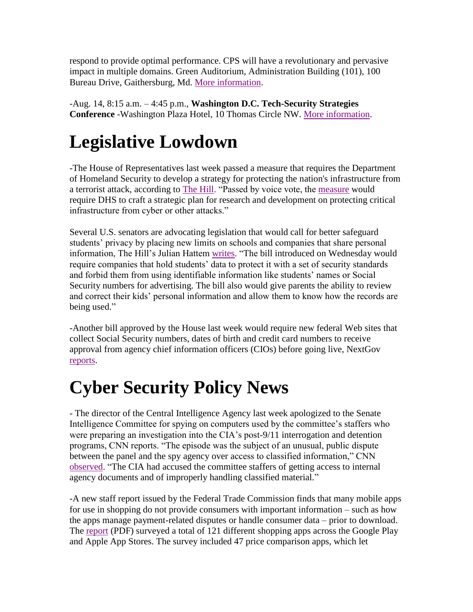respond to provide optimal performance. CPS will have a revolutionary and pervasive impact in multiple domains. Green Auditorium, Administration Building (101), 100 Bureau Drive, Gaithersburg, Md. [More information.](http://nist.gov/cps/cps-pwg-workshop.cfm)

-Aug. 14, 8:15 a.m. – 4:45 p.m., **Washington D.C. Tech-Security Strategies Conference** -Washington Plaza Hotel, 10 Thomas Circle NW. [More information.](http://www.dataconnectors.com/events/2014/08DC/agenda.asp)

# <span id="page-1-0"></span>**Legislative Lowdown**

-The House of Representatives last week passed a measure that requires the Department of Homeland Security to develop a strategy for protecting the nation's infrastructure from a terrorist attack, according to [The Hill.](http://thehill.com/blogs/floor-action/house/213547-house-passes-bill-to-help-prevent-attacks-on-infrastructure) "Passed by voice vote, the [measure](http://www.gpo.gov/fdsys/pkg/BILLS-113hr2952rh/pdf/BILLS-113hr2952rh.pdf) would require DHS to craft a strategic plan for research and development on protecting critical infrastructure from cyber or other attacks."

Several U.S. senators are advocating legislation that would call for better safeguard students' privacy by placing new limits on schools and companies that share personal information, The Hill's Julian Hattem [writes.](http://thehill.com/policy/technology/213794-senators-look-for-safeguards-on-student-tech) "The bill introduced on Wednesday would require companies that hold students' data to protect it with a set of security standards and forbid them from using identifiable information like students' names or Social Security numbers for advertising. The bill also would give parents the ability to review and correct their kids' personal information and allow them to know how the records are being used."

-Another bill approved by the House last week would require new federal Web sites that collect Social Security numbers, dates of birth and credit card numbers to receive approval from agency chief information officers (CIOs) before going live, NextGov [reports.](http://www.nextgov.com/cio-briefing/2014/07/house-wants-cios-certify-fed-websites-collect-personal-info/89921/?oref=ng-channelriver)

# <span id="page-1-1"></span>**Cyber Security Policy News**

- The director of the Central Intelligence Agency last week apologized to the Senate Intelligence Committee for spying on computers used by the committee's staffers who were preparing an investigation into the CIA's post-9/11 interrogation and detention programs, CNN reports. "The episode was the subject of an unusual, public dispute between the panel and the spy agency over access to classified information," CNN [observed.](http://www.cnn.com/2014/07/31/politics/cia-spying-senate-apologize/) "The CIA had accused the committee staffers of getting access to internal agency documents and of improperly handling classified material."

-A new staff report issued by the Federal Trade Commission finds that many mobile apps for use in shopping do not provide consumers with important information – such as how the apps manage payment-related disputes or handle consumer data – prior to download. The [report](http://www.ftc.gov/system/files/documents/reports/whats-deal-federal-trade-commission-study-mobile-shopping-apps-august-2014/140801mobileshoppingapps.pdf) (PDF) surveyed a total of 121 different shopping apps across the Google Play and Apple App Stores. The survey included 47 price comparison apps, which let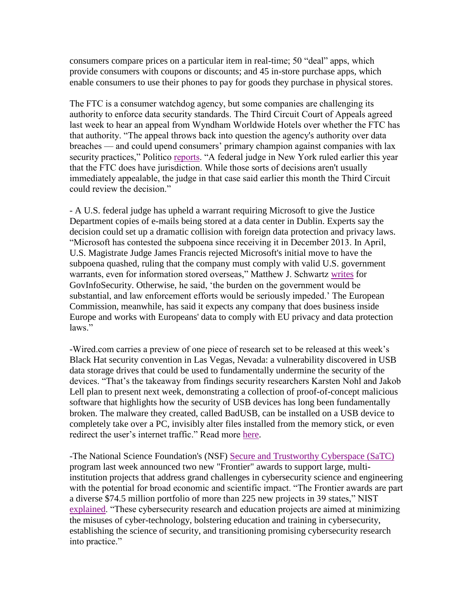consumers compare prices on a particular item in real-time; 50 "deal" apps, which provide consumers with coupons or discounts; and 45 in-store purchase apps, which enable consumers to use their phones to pay for goods they purchase in physical stores.

The FTC is a consumer watchdog agency, but some companies are challenging its authority to enforce data security standards. The Third Circuit Court of Appeals agreed last week to hear an appeal from Wyndham Worldwide Hotels over whether the FTC has that authority. "The appeal throws back into question the agency's authority over data breaches — and could upend consumers' primary champion against companies with lax security practices," Politico [reports.](http://www.politico.com/morningtech/0814/morningtech14856.html) "A federal judge in New York ruled earlier this year that the FTC does have jurisdiction. While those sorts of decisions aren't usually immediately appealable, the judge in that case said earlier this month the Third Circuit could review the decision."

- A U.S. federal judge has upheld a warrant requiring Microsoft to give the Justice Department copies of e-mails being stored at a data center in Dublin. Experts say the decision could set up a dramatic collision with foreign data protection and privacy laws. "Microsoft has contested the subpoena since receiving it in December 2013. In April, U.S. Magistrate Judge James Francis rejected Microsoft's initial move to have the subpoena quashed, ruling that the company must comply with valid U.S. government warrants, even for information stored overseas," Matthew J. Schwartz [writes](http://www.govinfosecurity.com/microsoft-to-appeal-e-mail-ruling-a-7151) for GovInfoSecurity. Otherwise, he said, 'the burden on the government would be substantial, and law enforcement efforts would be seriously impeded.' The European Commission, meanwhile, has said it expects any company that does business inside Europe and works with Europeans' data to comply with EU privacy and data protection laws."

-Wired.com carries a preview of one piece of research set to be released at this week's Black Hat security convention in Las Vegas, Nevada: a vulnerability discovered in USB data storage drives that could be used to fundamentally undermine the security of the devices. "That's the takeaway from findings security researchers Karsten Nohl and Jakob Lell plan to present next week, demonstrating a collection of proof-of-concept malicious software that highlights how the security of USB devices has long been fundamentally broken. The malware they created, called BadUSB, can be installed on a USB device to completely take over a PC, invisibly alter files installed from the memory stick, or even redirect the user's internet traffic." Read more [here.](http://www.wired.com/2014/07/usb-security/)

-The National Science Foundation's (NSF) [Secure and Trustworthy Cyberspace](http://www.nsf.gov/funding/pgm_summ.jsp?pims_id=504709) (SaTC) program last week announced two new "Frontier" awards to support large, multiinstitution projects that address grand challenges in cybersecurity science and engineering with the potential for broad economic and scientific impact. "The Frontier awards are part a diverse \$74.5 million portfolio of more than 225 new projects in 39 states," NIST [explained.](https://www.nsf.gov/news/news_summ.jsp?cntn_id=132197) "These cybersecurity research and education projects are aimed at minimizing the misuses of cyber-technology, bolstering education and training in cybersecurity, establishing the science of security, and transitioning promising cybersecurity research into practice."